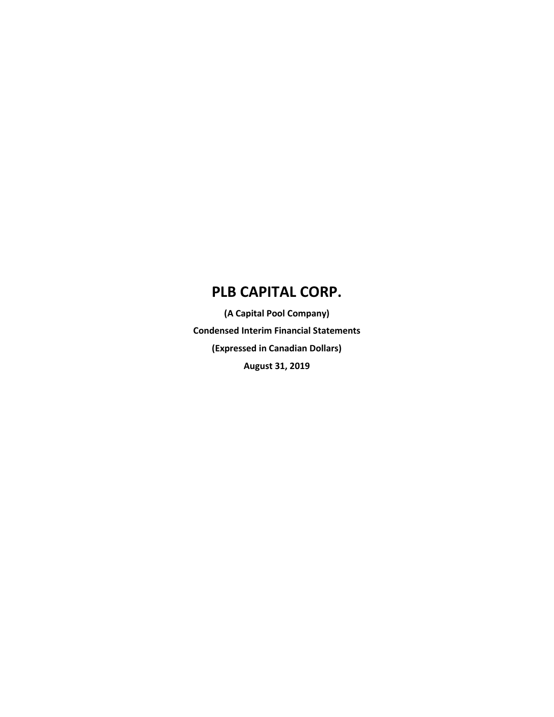**(A Capital Pool Company) Condensed Interim Financial Statements (Expressed in Canadian Dollars) August 31, 2019**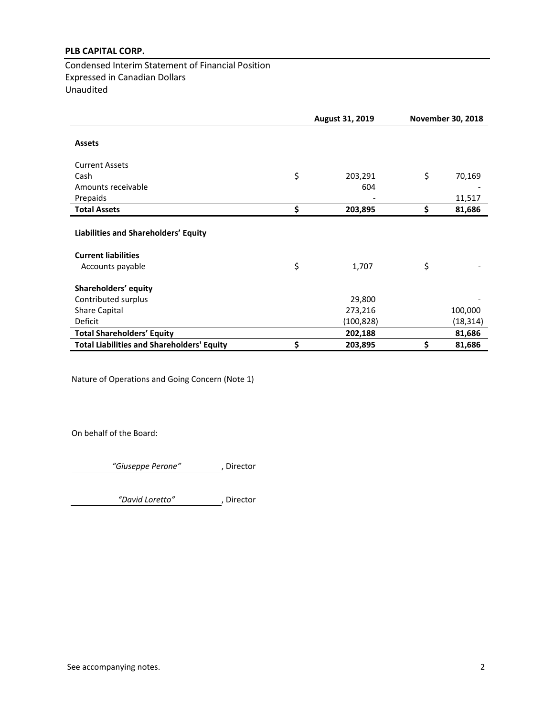Condensed Interim Statement of Financial Position Expressed in Canadian Dollars Unaudited

|                                                   | August 31, 2019 |    | <b>November 30, 2018</b> |
|---------------------------------------------------|-----------------|----|--------------------------|
| <b>Assets</b>                                     |                 |    |                          |
| <b>Current Assets</b>                             |                 |    |                          |
| Cash                                              | \$<br>203,291   | \$ | 70,169                   |
| Amounts receivable                                | 604             |    |                          |
| Prepaids                                          |                 |    | 11,517                   |
| <b>Total Assets</b>                               | \$<br>203,895   | \$ | 81,686                   |
| Liabilities and Shareholders' Equity              |                 |    |                          |
| <b>Current liabilities</b>                        |                 |    |                          |
| Accounts payable                                  | \$<br>1,707     | \$ |                          |
| Shareholders' equity                              |                 |    |                          |
| Contributed surplus                               | 29,800          |    |                          |
| <b>Share Capital</b>                              | 273,216         |    | 100,000                  |
| Deficit                                           | (100,828)       |    | (18, 314)                |
| <b>Total Shareholders' Equity</b>                 | 202,188         |    | 81,686                   |
| <b>Total Liabilities and Shareholders' Equity</b> | \$<br>203,895   | \$ | 81,686                   |

Nature of Operations and Going Concern (Note 1)

On behalf of the Board:

*"Giuseppe Perone"* , Director

*"David Loretto"* , Director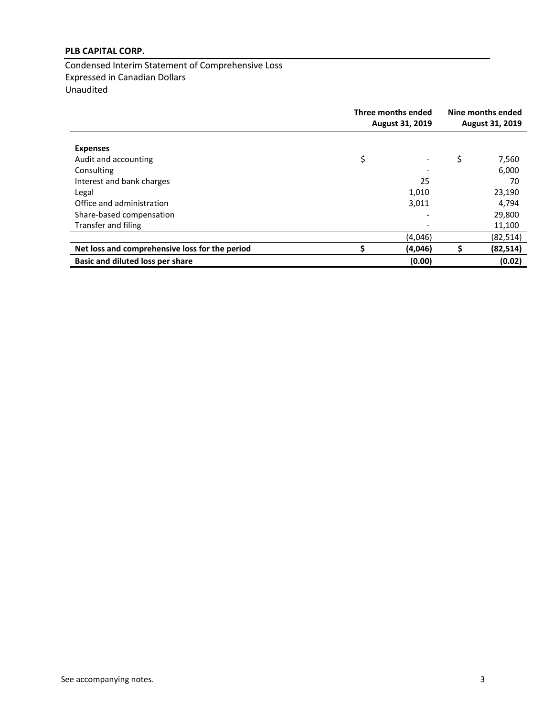Condensed Interim Statement of Comprehensive Loss Expressed in Canadian Dollars Unaudited

|                                                | Three months ended<br>August 31, 2019 |    | Nine months ended<br><b>August 31, 2019</b> |  |
|------------------------------------------------|---------------------------------------|----|---------------------------------------------|--|
| <b>Expenses</b>                                |                                       |    |                                             |  |
| Audit and accounting                           | \$                                    | \$ | 7,560                                       |  |
| Consulting                                     |                                       |    | 6,000                                       |  |
| Interest and bank charges                      | 25                                    |    | 70                                          |  |
| Legal                                          | 1,010                                 |    | 23,190                                      |  |
| Office and administration                      | 3,011                                 |    | 4,794                                       |  |
| Share-based compensation                       |                                       |    | 29,800                                      |  |
| Transfer and filing                            |                                       |    | 11,100                                      |  |
|                                                | (4,046)                               |    | (82, 514)                                   |  |
| Net loss and comprehensive loss for the period | (4,046)                               |    | (82, 514)                                   |  |
| Basic and diluted loss per share               | (0.00)                                |    | (0.02)                                      |  |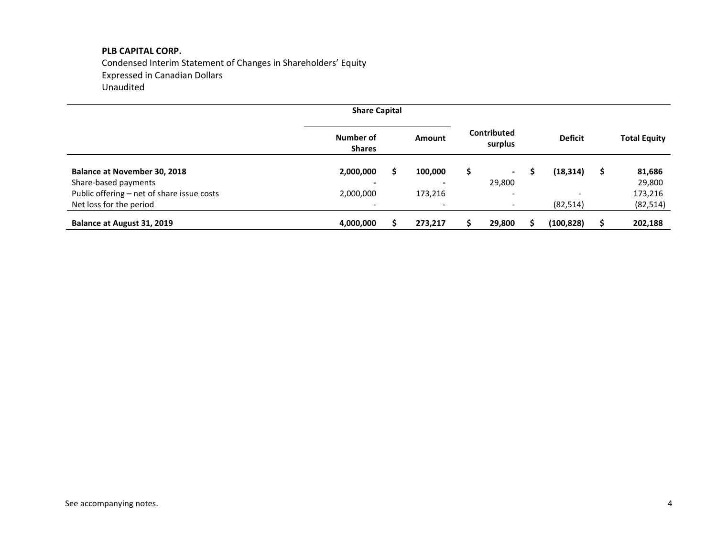Condensed Interim Statement of Changes in Shareholders' Equity Expressed in Canadian Dollars Unaudited

|                                            | <b>Share Capital</b>       |   |                          |                        |                          |                     |
|--------------------------------------------|----------------------------|---|--------------------------|------------------------|--------------------------|---------------------|
|                                            | Number of<br><b>Shares</b> |   | Amount                   | Contributed<br>surplus | <b>Deficit</b>           | <b>Total Equity</b> |
| <b>Balance at November 30, 2018</b>        | 2,000,000                  | S | 100,000                  | $\blacksquare$         | (18, 314)                | \$<br>81,686        |
| Share-based payments                       |                            |   | $\overline{\phantom{0}}$ | 29,800                 |                          | 29,800              |
| Public offering - net of share issue costs | 2,000,000                  |   | 173,216                  |                        | $\overline{\phantom{a}}$ | 173,216             |
| Net loss for the period                    | $\overline{\phantom{a}}$   |   |                          |                        | (82, 514)                | (82, 514)           |
| Balance at August 31, 2019                 | 4,000,000                  |   | 273,217                  | 29,800                 | (100, 828)               | 202,188             |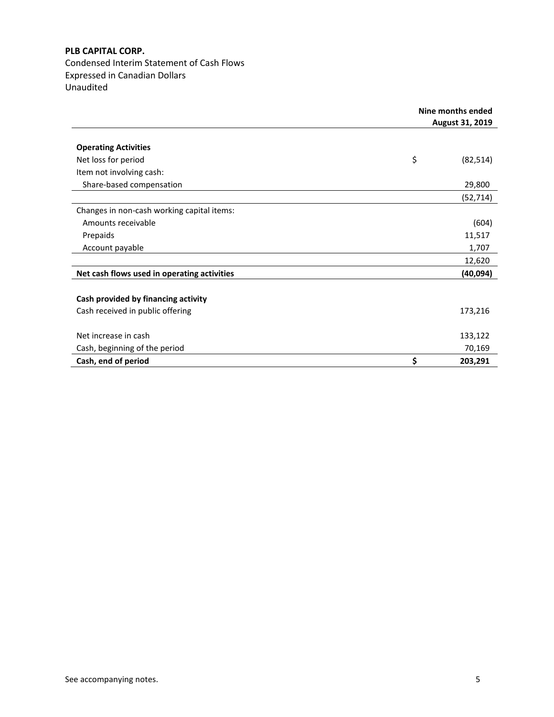Condensed Interim Statement of Cash Flows Expressed in Canadian Dollars Unaudited

|                                             | Nine months ended |           |  |
|---------------------------------------------|-------------------|-----------|--|
|                                             | August 31, 2019   |           |  |
| <b>Operating Activities</b>                 |                   |           |  |
| Net loss for period                         | \$                | (82, 514) |  |
| Item not involving cash:                    |                   |           |  |
| Share-based compensation                    |                   | 29,800    |  |
|                                             |                   | (52, 714) |  |
| Changes in non-cash working capital items:  |                   |           |  |
| Amounts receivable                          |                   | (604)     |  |
| Prepaids                                    |                   | 11,517    |  |
| Account payable                             |                   | 1,707     |  |
|                                             |                   | 12,620    |  |
| Net cash flows used in operating activities |                   | (40,094)  |  |
|                                             |                   |           |  |
| Cash provided by financing activity         |                   |           |  |
| Cash received in public offering            |                   | 173,216   |  |
|                                             |                   |           |  |
| Net increase in cash                        |                   | 133,122   |  |
| Cash, beginning of the period               |                   | 70,169    |  |
| Cash, end of period                         | \$                | 203,291   |  |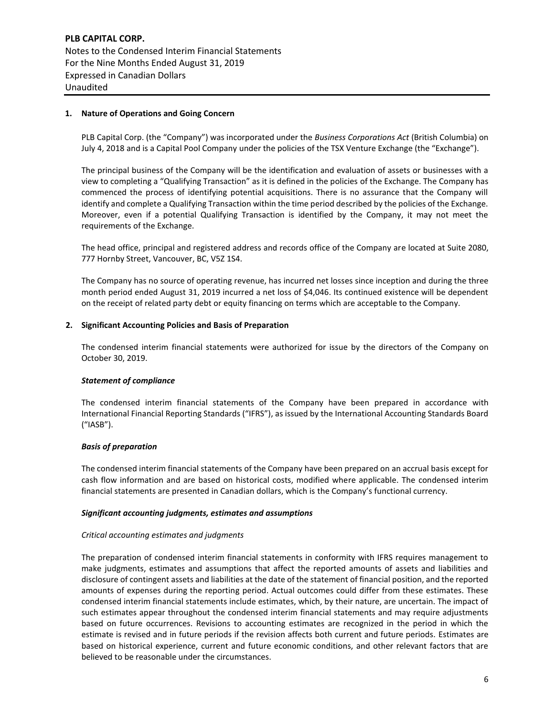**PLB CAPITAL CORP.** Notes to the Condensed Interim Financial Statements For the Nine Months Ended August 31, 2019 Expressed in Canadian Dollars Unaudited

# **1. Nature of Operations and Going Concern**

PLB Capital Corp. (the "Company") was incorporated under the *Business Corporations Act* (British Columbia) on July 4, 2018 and is a Capital Pool Company under the policies of the TSX Venture Exchange (the "Exchange").

The principal business of the Company will be the identification and evaluation of assets or businesses with a view to completing a "Qualifying Transaction" as it is defined in the policies of the Exchange. The Company has commenced the process of identifying potential acquisitions. There is no assurance that the Company will identify and complete a Qualifying Transaction within the time period described by the policies of the Exchange. Moreover, even if a potential Qualifying Transaction is identified by the Company, it may not meet the requirements of the Exchange.

The head office, principal and registered address and records office of the Company are located at Suite 2080, 777 Hornby Street, Vancouver, BC, V5Z 1S4.

The Company has no source of operating revenue, has incurred net losses since inception and during the three month period ended August 31, 2019 incurred a net loss of \$4,046. Its continued existence will be dependent on the receipt of related party debt or equity financing on terms which are acceptable to the Company.

# **2. Significant Accounting Policies and Basis of Preparation**

The condensed interim financial statements were authorized for issue by the directors of the Company on October 30, 2019.

## *Statement of compliance*

The condensed interim financial statements of the Company have been prepared in accordance with International Financial Reporting Standards ("IFRS"), as issued by the International Accounting Standards Board ("IASB").

## *Basis of preparation*

The condensed interim financial statements of the Company have been prepared on an accrual basis except for cash flow information and are based on historical costs, modified where applicable. The condensed interim financial statements are presented in Canadian dollars, which is the Company's functional currency.

## *Significant accounting judgments, estimates and assumptions*

## *Critical accounting estimates and judgments*

The preparation of condensed interim financial statements in conformity with IFRS requires management to make judgments, estimates and assumptions that affect the reported amounts of assets and liabilities and disclosure of contingent assets and liabilities at the date of the statement of financial position, and the reported amounts of expenses during the reporting period. Actual outcomes could differ from these estimates. These condensed interim financial statements include estimates, which, by their nature, are uncertain. The impact of such estimates appear throughout the condensed interim financial statements and may require adjustments based on future occurrences. Revisions to accounting estimates are recognized in the period in which the estimate is revised and in future periods if the revision affects both current and future periods. Estimates are based on historical experience, current and future economic conditions, and other relevant factors that are believed to be reasonable under the circumstances.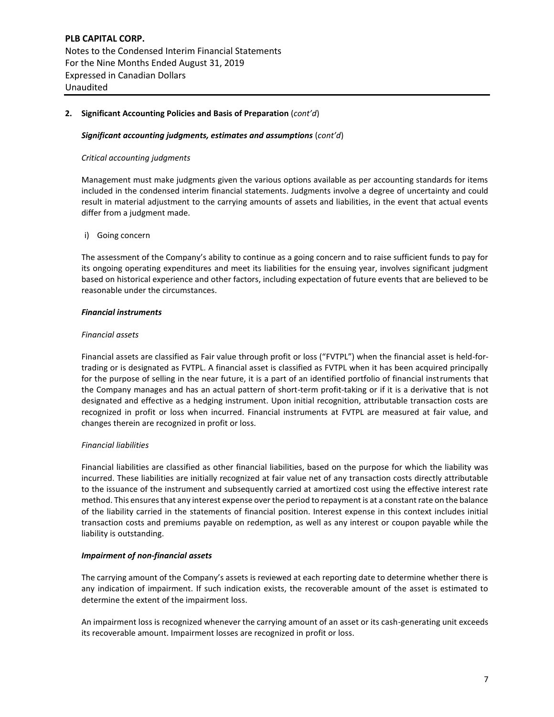# **2. Significant Accounting Policies and Basis of Preparation** (*cont'd*)

## *Significant accounting judgments, estimates and assumptions* (*cont'd*)

## *Critical accounting judgments*

Management must make judgments given the various options available as per accounting standards for items included in the condensed interim financial statements. Judgments involve a degree of uncertainty and could result in material adjustment to the carrying amounts of assets and liabilities, in the event that actual events differ from a judgment made.

#### i) Going concern

The assessment of the Company's ability to continue as a going concern and to raise sufficient funds to pay for its ongoing operating expenditures and meet its liabilities for the ensuing year, involves significant judgment based on historical experience and other factors, including expectation of future events that are believed to be reasonable under the circumstances.

#### *Financial instruments*

#### *Financial assets*

Financial assets are classified as Fair value through profit or loss ("FVTPL") when the financial asset is held-fortrading or is designated as FVTPL. A financial asset is classified as FVTPL when it has been acquired principally for the purpose of selling in the near future, it is a part of an identified portfolio of financial instruments that the Company manages and has an actual pattern of short-term profit-taking or if it is a derivative that is not designated and effective as a hedging instrument. Upon initial recognition, attributable transaction costs are recognized in profit or loss when incurred. Financial instruments at FVTPL are measured at fair value, and changes therein are recognized in profit or loss.

## *Financial liabilities*

Financial liabilities are classified as other financial liabilities, based on the purpose for which the liability was incurred. These liabilities are initially recognized at fair value net of any transaction costs directly attributable to the issuance of the instrument and subsequently carried at amortized cost using the effective interest rate method. This ensures that any interest expense over the period to repayment is at a constant rate on the balance of the liability carried in the statements of financial position. Interest expense in this context includes initial transaction costs and premiums payable on redemption, as well as any interest or coupon payable while the liability is outstanding.

# *Impairment of non-financial assets*

The carrying amount of the Company's assets is reviewed at each reporting date to determine whether there is any indication of impairment. If such indication exists, the recoverable amount of the asset is estimated to determine the extent of the impairment loss.

An impairment loss is recognized whenever the carrying amount of an asset or its cash-generating unit exceeds its recoverable amount. Impairment losses are recognized in profit or loss.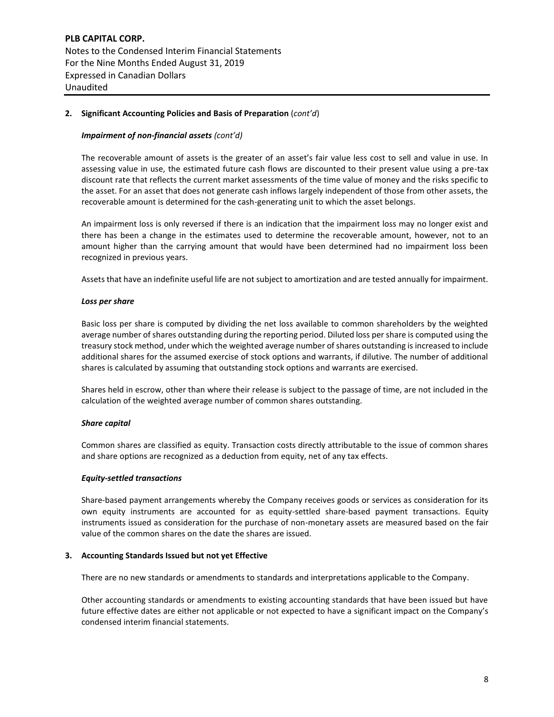**PLB CAPITAL CORP.** Notes to the Condensed Interim Financial Statements For the Nine Months Ended August 31, 2019 Expressed in Canadian Dollars Unaudited

# **2. Significant Accounting Policies and Basis of Preparation** (*cont'd*)

# *Impairment of non-financial assets (cont'd)*

The recoverable amount of assets is the greater of an asset's fair value less cost to sell and value in use. In assessing value in use, the estimated future cash flows are discounted to their present value using a pre-tax discount rate that reflects the current market assessments of the time value of money and the risks specific to the asset. For an asset that does not generate cash inflows largely independent of those from other assets, the recoverable amount is determined for the cash-generating unit to which the asset belongs.

An impairment loss is only reversed if there is an indication that the impairment loss may no longer exist and there has been a change in the estimates used to determine the recoverable amount, however, not to an amount higher than the carrying amount that would have been determined had no impairment loss been recognized in previous years.

Assets that have an indefinite useful life are not subject to amortization and are tested annually for impairment.

# *Loss per share*

Basic loss per share is computed by dividing the net loss available to common shareholders by the weighted average number of shares outstanding during the reporting period. Diluted loss per share is computed using the treasury stock method, under which the weighted average number of shares outstanding is increased to include additional shares for the assumed exercise of stock options and warrants, if dilutive. The number of additional shares is calculated by assuming that outstanding stock options and warrants are exercised.

Shares held in escrow, other than where their release is subject to the passage of time, are not included in the calculation of the weighted average number of common shares outstanding.

## *Share capital*

Common shares are classified as equity. Transaction costs directly attributable to the issue of common shares and share options are recognized as a deduction from equity, net of any tax effects.

## *Equity-settled transactions*

Share-based payment arrangements whereby the Company receives goods or services as consideration for its own equity instruments are accounted for as equity-settled share-based payment transactions. Equity instruments issued as consideration for the purchase of non-monetary assets are measured based on the fair value of the common shares on the date the shares are issued.

## **3. Accounting Standards Issued but not yet Effective**

There are no new standards or amendments to standards and interpretations applicable to the Company.

Other accounting standards or amendments to existing accounting standards that have been issued but have future effective dates are either not applicable or not expected to have a significant impact on the Company's condensed interim financial statements.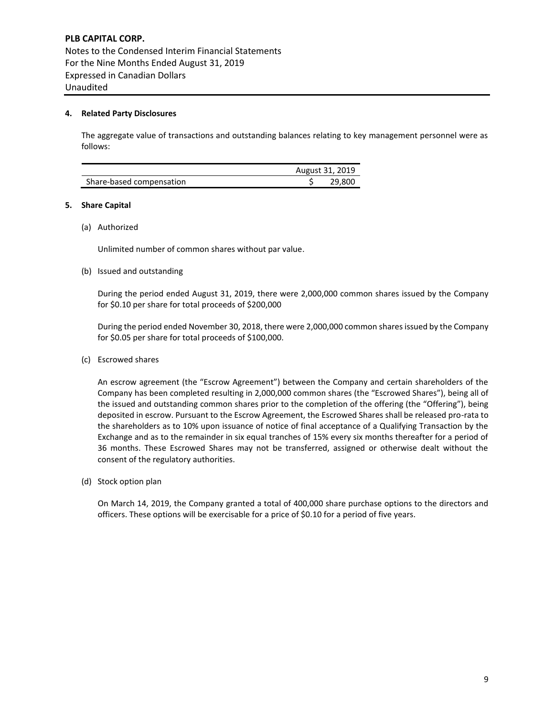# **4. Related Party Disclosures**

The aggregate value of transactions and outstanding balances relating to key management personnel were as follows:

|                          | August 31, 2019 |
|--------------------------|-----------------|
| Share-based compensation | 29.800          |

## **5. Share Capital**

(a) Authorized

Unlimited number of common shares without par value.

(b) Issued and outstanding

During the period ended August 31, 2019, there were 2,000,000 common shares issued by the Company for \$0.10 per share for total proceeds of \$200,000

During the period ended November 30, 2018, there were 2,000,000 common shares issued by the Company for \$0.05 per share for total proceeds of \$100,000.

(c) Escrowed shares

An escrow agreement (the "Escrow Agreement") between the Company and certain shareholders of the Company has been completed resulting in 2,000,000 common shares (the "Escrowed Shares"), being all of the issued and outstanding common shares prior to the completion of the offering (the "Offering"), being deposited in escrow. Pursuant to the Escrow Agreement, the Escrowed Shares shall be released pro-rata to the shareholders as to 10% upon issuance of notice of final acceptance of a Qualifying Transaction by the Exchange and as to the remainder in six equal tranches of 15% every six months thereafter for a period of 36 months. These Escrowed Shares may not be transferred, assigned or otherwise dealt without the consent of the regulatory authorities.

(d) Stock option plan

On March 14, 2019, the Company granted a total of 400,000 share purchase options to the directors and officers. These options will be exercisable for a price of \$0.10 for a period of five years.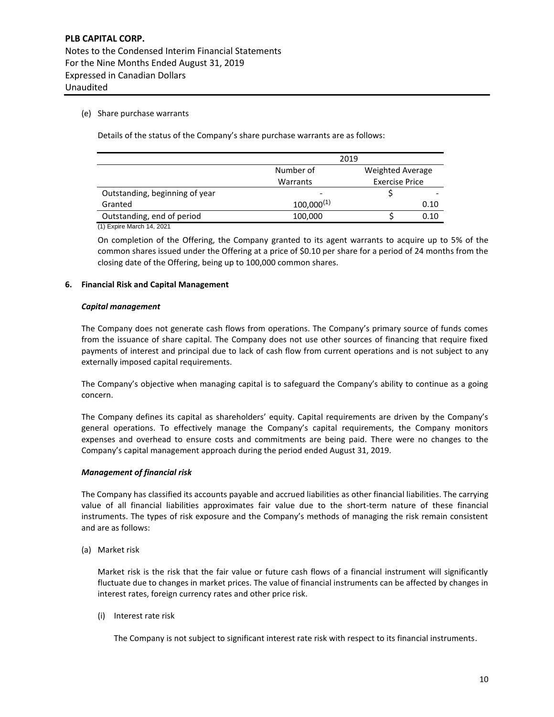# (e) Share purchase warrants

Details of the status of the Company's share purchase warrants are as follows:

|                                | 2019            |                       |      |  |
|--------------------------------|-----------------|-----------------------|------|--|
|                                | Number of       | Weighted Average      |      |  |
|                                | Warrants        | <b>Exercise Price</b> |      |  |
| Outstanding, beginning of year |                 |                       |      |  |
| Granted                        | $100,000^{(1)}$ |                       | 0.10 |  |
| Outstanding, end of period     | 100,000         |                       | 0.10 |  |

(1) Expire March 14, 2021

On completion of the Offering, the Company granted to its agent warrants to acquire up to 5% of the common shares issued under the Offering at a price of \$0.10 per share for a period of 24 months from the closing date of the Offering, being up to 100,000 common shares.

# **6. Financial Risk and Capital Management**

## *Capital management*

The Company does not generate cash flows from operations. The Company's primary source of funds comes from the issuance of share capital. The Company does not use other sources of financing that require fixed payments of interest and principal due to lack of cash flow from current operations and is not subject to any externally imposed capital requirements.

The Company's objective when managing capital is to safeguard the Company's ability to continue as a going concern.

The Company defines its capital as shareholders' equity. Capital requirements are driven by the Company's general operations. To effectively manage the Company's capital requirements, the Company monitors expenses and overhead to ensure costs and commitments are being paid. There were no changes to the Company's capital management approach during the period ended August 31, 2019.

## *Management of financial risk*

The Company has classified its accounts payable and accrued liabilities as other financial liabilities. The carrying value of all financial liabilities approximates fair value due to the short-term nature of these financial instruments. The types of risk exposure and the Company's methods of managing the risk remain consistent and are as follows:

(a) Market risk

Market risk is the risk that the fair value or future cash flows of a financial instrument will significantly fluctuate due to changes in market prices. The value of financial instruments can be affected by changes in interest rates, foreign currency rates and other price risk.

(i) Interest rate risk

The Company is not subject to significant interest rate risk with respect to its financial instruments.